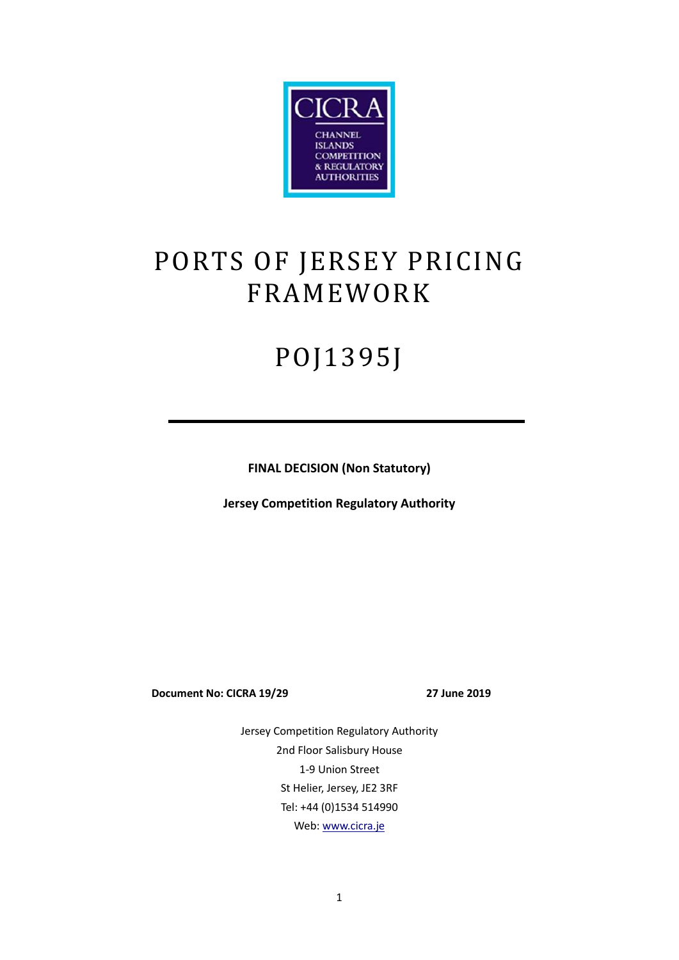

# PORTS OF JERSEY PRICING FRAMEWORK

# POJ1395J

**FINAL DECISION (Non Statutory)** 

**Jersey Competition Regulatory Authority** 

**Document No: CICRA 19/29 27 June 2019**

Jersey Competition Regulatory Authority 2nd Floor Salisbury House 1-9 Union Street St Helier, Jersey, JE2 3RF Tel: +44 (0)1534 514990 Web: www.cicra.je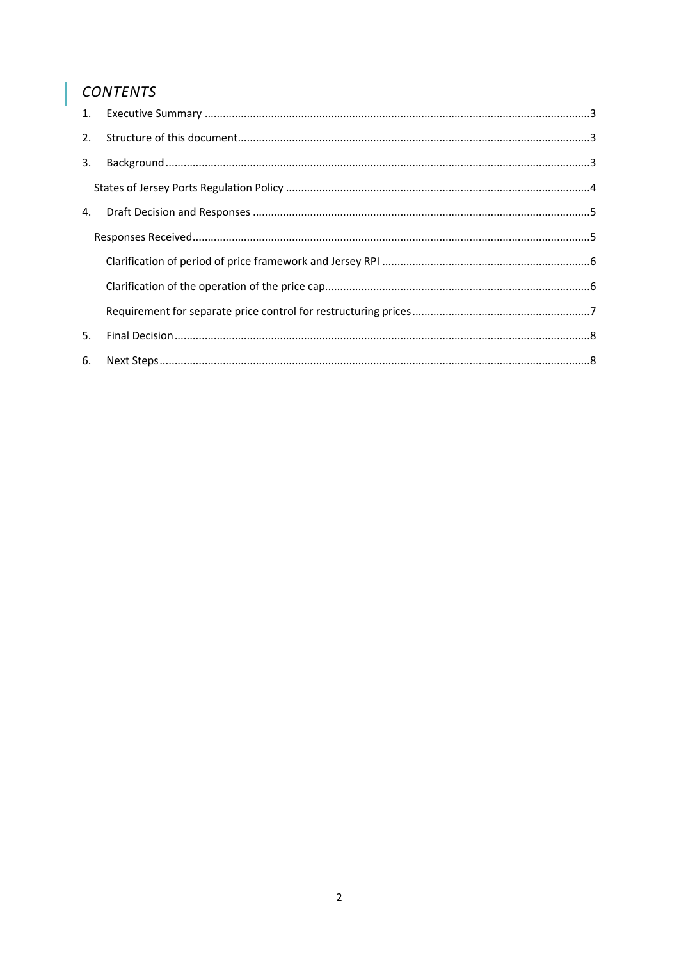#### CONTENTS

| 1. |  |
|----|--|
|    |  |
| 3. |  |
|    |  |
| 4. |  |
|    |  |
|    |  |
|    |  |
|    |  |
| 5. |  |
| 6. |  |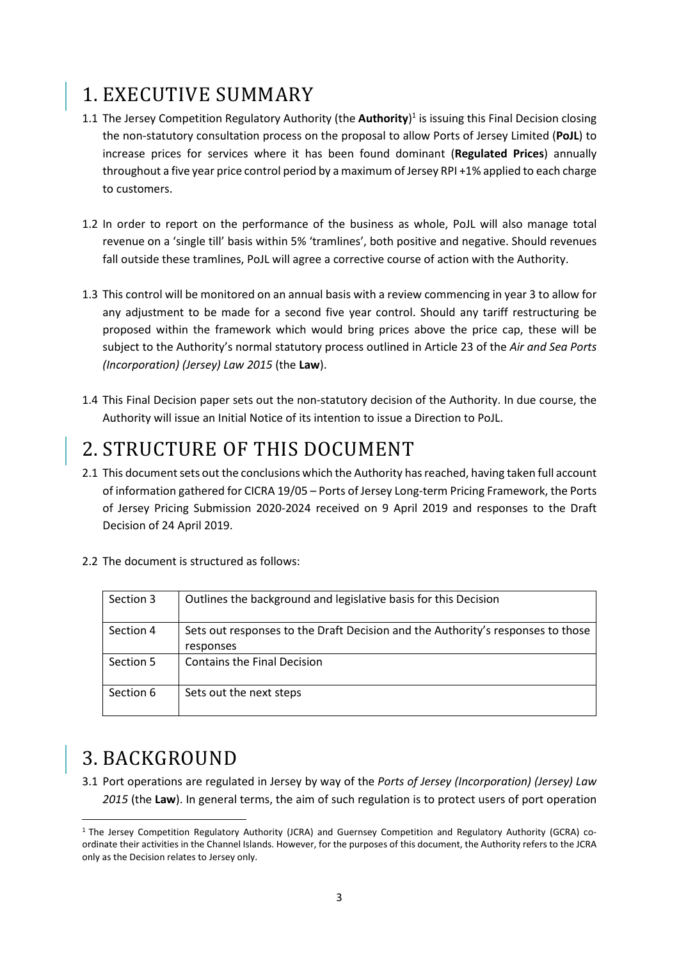# 1. EXECUTIVE SUMMARY

- 1.1 The Jersey Competition Regulatory Authority (the **Authority**)<sup>1</sup> is issuing this Final Decision closing the non-statutory consultation process on the proposal to allow Ports of Jersey Limited (**PoJL**) to increase prices for services where it has been found dominant (**Regulated Prices**) annually throughout a five year price control period by a maximum of Jersey RPI +1% applied to each charge to customers.
- 1.2 In order to report on the performance of the business as whole, PoJL will also manage total revenue on a 'single till' basis within 5% 'tramlines', both positive and negative. Should revenues fall outside these tramlines, PoJL will agree a corrective course of action with the Authority.
- 1.3 This control will be monitored on an annual basis with a review commencing in year 3 to allow for any adjustment to be made for a second five year control. Should any tariff restructuring be proposed within the framework which would bring prices above the price cap, these will be subject to the Authority's normal statutory process outlined in Article 23 of the *Air and Sea Ports (Incorporation) (Jersey) Law 2015* (the **Law**).
- 1.4 This Final Decision paper sets out the non-statutory decision of the Authority. In due course, the Authority will issue an Initial Notice of its intention to issue a Direction to PoJL.

### 2. STRUCTURE OF THIS DOCUMENT

- 2.1 This document sets out the conclusions which the Authority has reached, having taken full account of information gathered for CICRA 19/05 – Ports of Jersey Long-term Pricing Framework, the Ports of Jersey Pricing Submission 2020-2024 received on 9 April 2019 and responses to the Draft Decision of 24 April 2019.
- 2.2 The document is structured as follows:

| Section 3 | Outlines the background and legislative basis for this Decision                              |
|-----------|----------------------------------------------------------------------------------------------|
| Section 4 | Sets out responses to the Draft Decision and the Authority's responses to those<br>responses |
| Section 5 | <b>Contains the Final Decision</b>                                                           |
| Section 6 | Sets out the next steps                                                                      |

## 3. BACKGROUND

<u>.</u>

3.1 Port operations are regulated in Jersey by way of the *Ports of Jersey (Incorporation) (Jersey) Law 2015* (the **Law**). In general terms, the aim of such regulation is to protect users of port operation

<sup>&</sup>lt;sup>1</sup> The Jersey Competition Regulatory Authority (JCRA) and Guernsey Competition and Regulatory Authority (GCRA) coordinate their activities in the Channel Islands. However, for the purposes of this document, the Authority refers to the JCRA only as the Decision relates to Jersey only.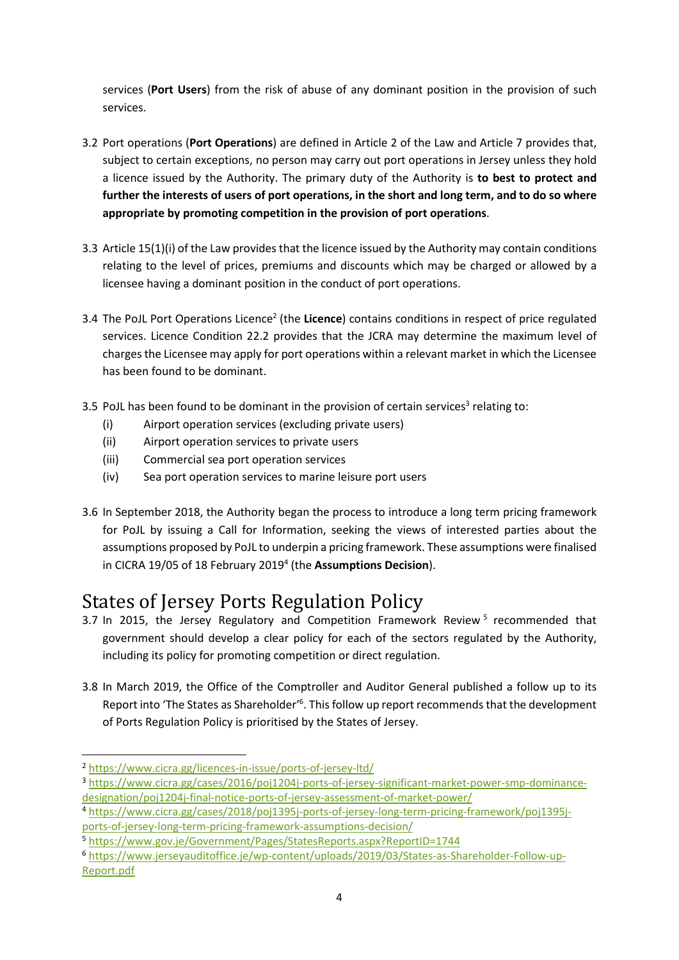services (**Port Users**) from the risk of abuse of any dominant position in the provision of such services.

- 3.2 Port operations (**Port Operations**) are defined in Article 2 of the Law and Article 7 provides that, subject to certain exceptions, no person may carry out port operations in Jersey unless they hold a licence issued by the Authority. The primary duty of the Authority is **to best to protect and further the interests of users of port operations, in the short and long term, and to do so where appropriate by promoting competition in the provision of port operations**.
- 3.3 Article 15(1)(i) of the Law provides that the licence issued by the Authority may contain conditions relating to the level of prices, premiums and discounts which may be charged or allowed by a licensee having a dominant position in the conduct of port operations.
- 3.4 The PoJL Port Operations Licence<sup>2</sup> (the Licence) contains conditions in respect of price regulated services. Licence Condition 22.2 provides that the JCRA may determine the maximum level of charges the Licensee may apply for port operations within a relevant market in which the Licensee has been found to be dominant.
- 3.5 PoJL has been found to be dominant in the provision of certain services<sup>3</sup> relating to:
	- (i) Airport operation services (excluding private users)
	- (ii) Airport operation services to private users
	- (iii) Commercial sea port operation services
	- (iv) Sea port operation services to marine leisure port users
- 3.6 In September 2018, the Authority began the process to introduce a long term pricing framework for PoJL by issuing a Call for Information, seeking the views of interested parties about the assumptions proposed by PoJL to underpin a pricing framework. These assumptions were finalised in CICRA 19/05 of 18 February 2019<sup>4</sup> (the Assumptions Decision).

# States of Jersey Ports Regulation Policy

- 3.7 In 2015, the Jersey Regulatory and Competition Framework Review<sup>5</sup> recommended that government should develop a clear policy for each of the sectors regulated by the Authority, including its policy for promoting competition or direct regulation.
- 3.8 In March 2019, the Office of the Comptroller and Auditor General published a follow up to its Report into 'The States as Shareholder'<sup>6</sup>. This follow up report recommends that the development of Ports Regulation Policy is prioritised by the States of Jersey.

<u>.</u>

<sup>2</sup> https://www.cicra.gg/licences-in-issue/ports-of-jersey-ltd/

<sup>3</sup> https://www.cicra.gg/cases/2016/poj1204j-ports-of-jersey-significant-market-power-smp-dominancedesignation/poj1204j-final-notice-ports-of-jersey-assessment-of-market-power/

<sup>4</sup> https://www.cicra.gg/cases/2018/poj1395j-ports-of-jersey-long-term-pricing-framework/poj1395jports-of-jersey-long-term-pricing-framework-assumptions-decision/

<sup>5</sup> https://www.gov.je/Government/Pages/StatesReports.aspx?ReportID=1744

<sup>6</sup> https://www.jerseyauditoffice.je/wp-content/uploads/2019/03/States-as-Shareholder-Follow-up-Report.pdf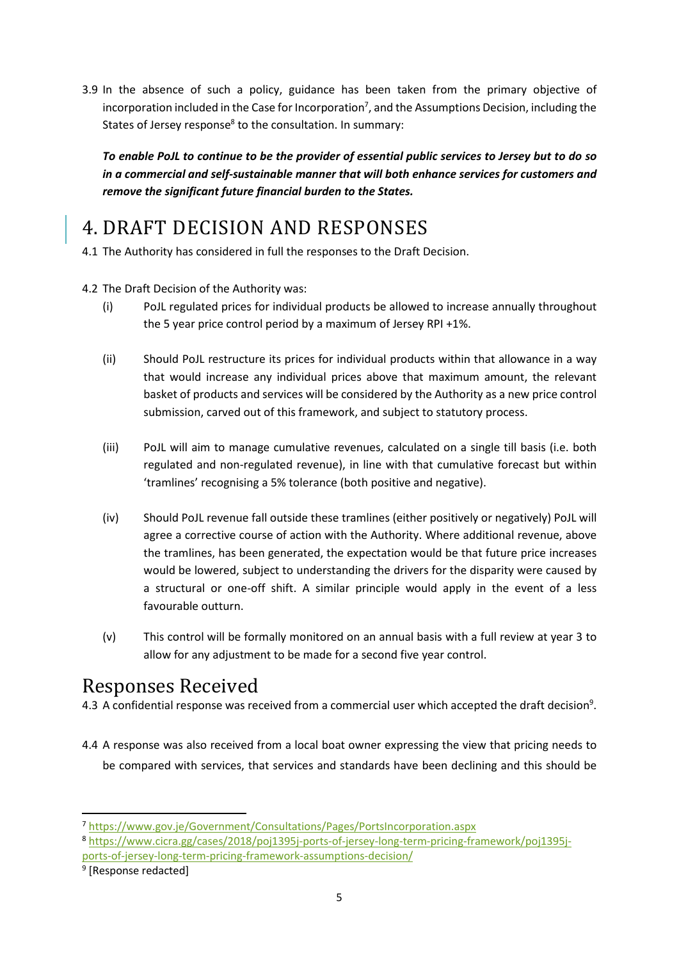3.9 In the absence of such a policy, guidance has been taken from the primary objective of incorporation included in the Case for Incorporation<sup>7</sup>, and the Assumptions Decision, including the States of Jersey response<sup>8</sup> to the consultation. In summary:

*To enable PoJL to continue to be the provider of essential public services to Jersey but to do so in a commercial and self-sustainable manner that will both enhance services for customers and remove the significant future financial burden to the States.* 

# 4. DRAFT DECISION AND RESPONSES

4.1 The Authority has considered in full the responses to the Draft Decision.

- 4.2 The Draft Decision of the Authority was:
	- (i) PoJL regulated prices for individual products be allowed to increase annually throughout the 5 year price control period by a maximum of Jersey RPI +1%.
	- (ii) Should PoJL restructure its prices for individual products within that allowance in a way that would increase any individual prices above that maximum amount, the relevant basket of products and services will be considered by the Authority as a new price control submission, carved out of this framework, and subject to statutory process.
	- (iii) PoJL will aim to manage cumulative revenues, calculated on a single till basis (i.e. both regulated and non-regulated revenue), in line with that cumulative forecast but within 'tramlines' recognising a 5% tolerance (both positive and negative).
	- (iv) Should PoJL revenue fall outside these tramlines (either positively or negatively) PoJL will agree a corrective course of action with the Authority. Where additional revenue, above the tramlines, has been generated, the expectation would be that future price increases would be lowered, subject to understanding the drivers for the disparity were caused by a structural or one-off shift. A similar principle would apply in the event of a less favourable outturn.
	- (v) This control will be formally monitored on an annual basis with a full review at year 3 to allow for any adjustment to be made for a second five year control.

### Responses Received

4.3 A confidential response was received from a commercial user which accepted the draft decision<sup>9</sup>.

4.4 A response was also received from a local boat owner expressing the view that pricing needs to be compared with services, that services and standards have been declining and this should be

<u>.</u>

<sup>7</sup> https://www.gov.je/Government/Consultations/Pages/PortsIncorporation.aspx

<sup>8</sup> https://www.cicra.gg/cases/2018/poj1395j-ports-of-jersey-long-term-pricing-framework/poj1395jports-of-jersey-long-term-pricing-framework-assumptions-decision/

<sup>&</sup>lt;sup>9</sup> [Response redacted]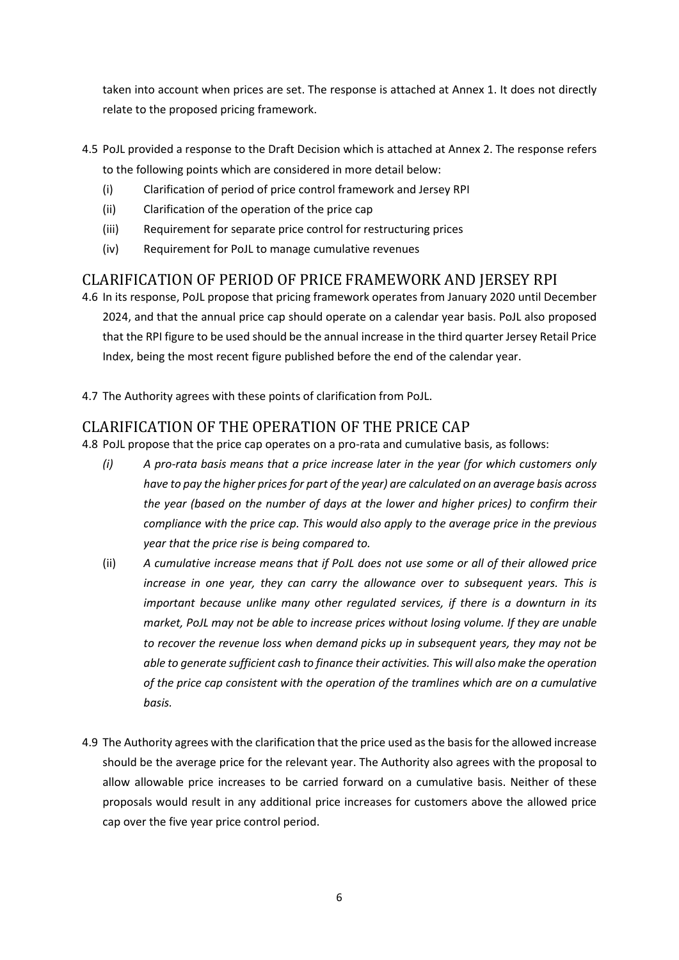taken into account when prices are set. The response is attached at Annex 1. It does not directly relate to the proposed pricing framework.

- 4.5 PoJL provided a response to the Draft Decision which is attached at Annex 2. The response refers to the following points which are considered in more detail below:
	- (i) Clarification of period of price control framework and Jersey RPI
	- (ii) Clarification of the operation of the price cap
	- (iii) Requirement for separate price control for restructuring prices
	- (iv) Requirement for PoJL to manage cumulative revenues

#### CLARIFICATION OF PERIOD OF PRICE FRAMEWORK AND JERSEY RPI

- 4.6 In its response, PoJL propose that pricing framework operates from January 2020 until December 2024, and that the annual price cap should operate on a calendar year basis. PoJL also proposed that the RPI figure to be used should be the annual increase in the third quarter Jersey Retail Price Index, being the most recent figure published before the end of the calendar year.
- 4.7 The Authority agrees with these points of clarification from PoJL.

#### CLARIFICATION OF THE OPERATION OF THE PRICE CAP

4.8 PoJL propose that the price cap operates on a pro-rata and cumulative basis, as follows:

- *(i) A pro-rata basis means that a price increase later in the year (for which customers only have to pay the higher prices for part of the year) are calculated on an average basis across the year (based on the number of days at the lower and higher prices) to confirm their compliance with the price cap. This would also apply to the average price in the previous year that the price rise is being compared to.*
- (ii) *A cumulative increase means that if PoJL does not use some or all of their allowed price increase in one year, they can carry the allowance over to subsequent years. This is important because unlike many other regulated services, if there is a downturn in its market, PoJL may not be able to increase prices without losing volume. If they are unable to recover the revenue loss when demand picks up in subsequent years, they may not be able to generate sufficient cash to finance their activities. This will also make the operation of the price cap consistent with the operation of the tramlines which are on a cumulative basis.*
- 4.9 The Authority agrees with the clarification that the price used as the basis for the allowed increase should be the average price for the relevant year. The Authority also agrees with the proposal to allow allowable price increases to be carried forward on a cumulative basis. Neither of these proposals would result in any additional price increases for customers above the allowed price cap over the five year price control period.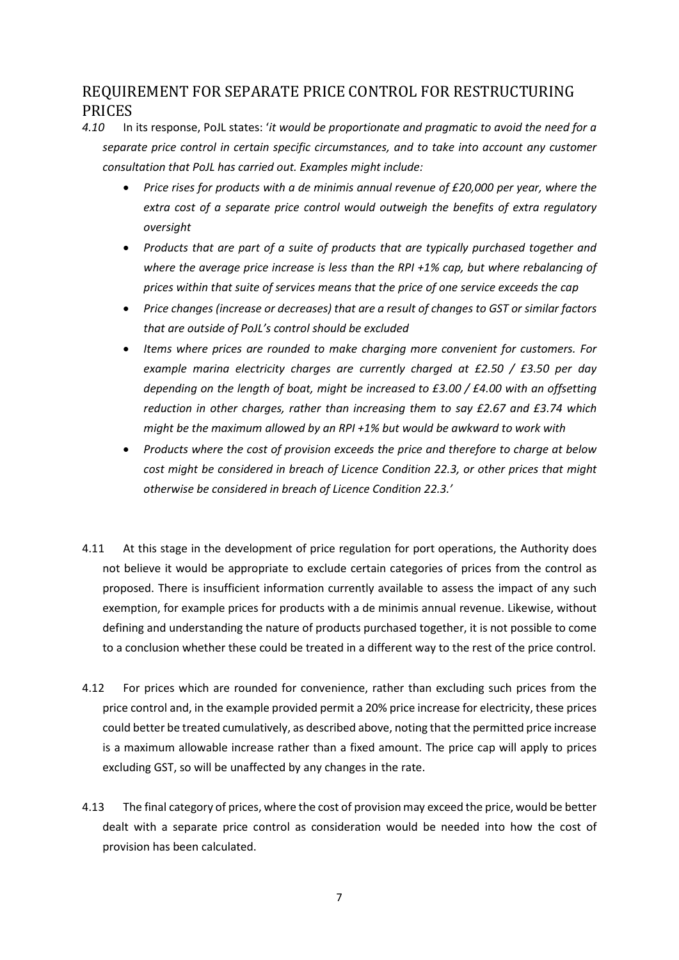#### REQUIREMENT FOR SEPARATE PRICE CONTROL FOR RESTRUCTURING PRICES

- *4.10* In its response, PoJL states: '*it would be proportionate and pragmatic to avoid the need for a separate price control in certain specific circumstances, and to take into account any customer consultation that PoJL has carried out. Examples might include:* 
	- *Price rises for products with a de minimis annual revenue of £20,000 per year, where the extra cost of a separate price control would outweigh the benefits of extra regulatory oversight*
	- *Products that are part of a suite of products that are typically purchased together and where the average price increase is less than the RPI +1% cap, but where rebalancing of prices within that suite of services means that the price of one service exceeds the cap*
	- *Price changes (increase or decreases) that are a result of changes to GST or similar factors that are outside of PoJL's control should be excluded*
	- *Items where prices are rounded to make charging more convenient for customers. For example marina electricity charges are currently charged at £2.50 / £3.50 per day depending on the length of boat, might be increased to £3.00 / £4.00 with an offsetting reduction in other charges, rather than increasing them to say £2.67 and £3.74 which might be the maximum allowed by an RPI +1% but would be awkward to work with*
	- *Products where the cost of provision exceeds the price and therefore to charge at below cost might be considered in breach of Licence Condition 22.3, or other prices that might otherwise be considered in breach of Licence Condition 22.3.'*
- 4.11 At this stage in the development of price regulation for port operations, the Authority does not believe it would be appropriate to exclude certain categories of prices from the control as proposed. There is insufficient information currently available to assess the impact of any such exemption, for example prices for products with a de minimis annual revenue. Likewise, without defining and understanding the nature of products purchased together, it is not possible to come to a conclusion whether these could be treated in a different way to the rest of the price control.
- 4.12 For prices which are rounded for convenience, rather than excluding such prices from the price control and, in the example provided permit a 20% price increase for electricity, these prices could better be treated cumulatively, as described above, noting that the permitted price increase is a maximum allowable increase rather than a fixed amount. The price cap will apply to prices excluding GST, so will be unaffected by any changes in the rate.
- 4.13 The final category of prices, where the cost of provision may exceed the price, would be better dealt with a separate price control as consideration would be needed into how the cost of provision has been calculated.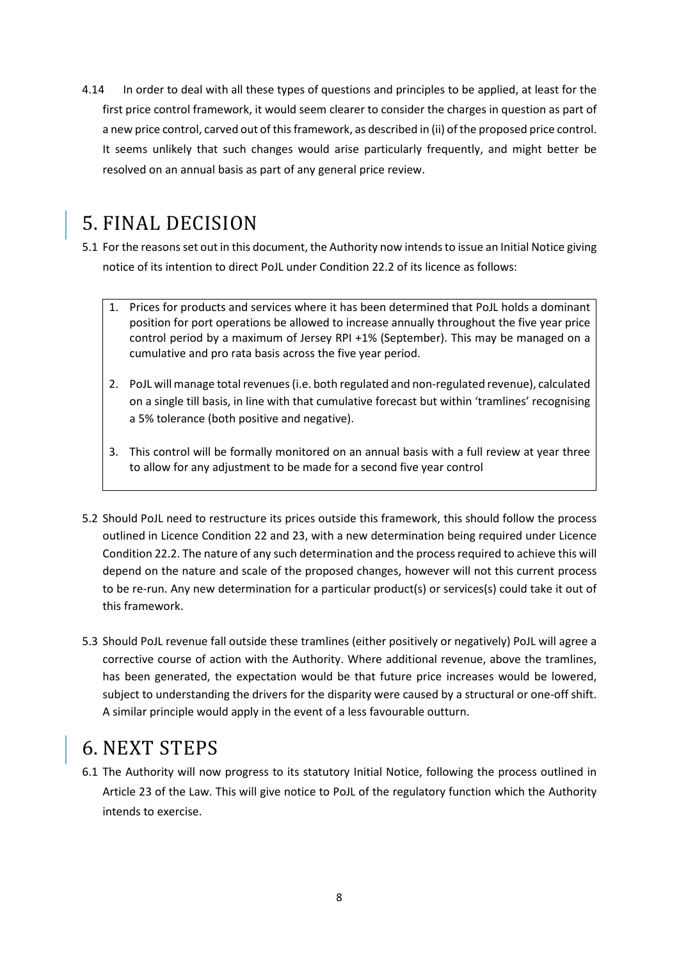4.14 In order to deal with all these types of questions and principles to be applied, at least for the first price control framework, it would seem clearer to consider the charges in question as part of a new price control, carved out of this framework, as described in (ii) of the proposed price control. It seems unlikely that such changes would arise particularly frequently, and might better be resolved on an annual basis as part of any general price review.

## 5. FINAL DECISION

- 5.1 For the reasons set out in this document, the Authority now intends to issue an Initial Notice giving notice of its intention to direct PoJL under Condition 22.2 of its licence as follows:
	- 1. Prices for products and services where it has been determined that PoJL holds a dominant position for port operations be allowed to increase annually throughout the five year price control period by a maximum of Jersey RPI +1% (September). This may be managed on a cumulative and pro rata basis across the five year period.
	- 2. PoJL will manage total revenues (i.e. both regulated and non-regulated revenue), calculated on a single till basis, in line with that cumulative forecast but within 'tramlines' recognising a 5% tolerance (both positive and negative).
	- 3. This control will be formally monitored on an annual basis with a full review at year three to allow for any adjustment to be made for a second five year control
- 5.2 Should PoJL need to restructure its prices outside this framework, this should follow the process outlined in Licence Condition 22 and 23, with a new determination being required under Licence Condition 22.2. The nature of any such determination and the process required to achieve this will depend on the nature and scale of the proposed changes, however will not this current process to be re-run. Any new determination for a particular product(s) or services(s) could take it out of this framework.
- 5.3 Should PoJL revenue fall outside these tramlines (either positively or negatively) PoJL will agree a corrective course of action with the Authority. Where additional revenue, above the tramlines, has been generated, the expectation would be that future price increases would be lowered, subject to understanding the drivers for the disparity were caused by a structural or one-off shift. A similar principle would apply in the event of a less favourable outturn.

### 6. NEXT STEPS

6.1 The Authority will now progress to its statutory Initial Notice, following the process outlined in Article 23 of the Law. This will give notice to PoJL of the regulatory function which the Authority intends to exercise.